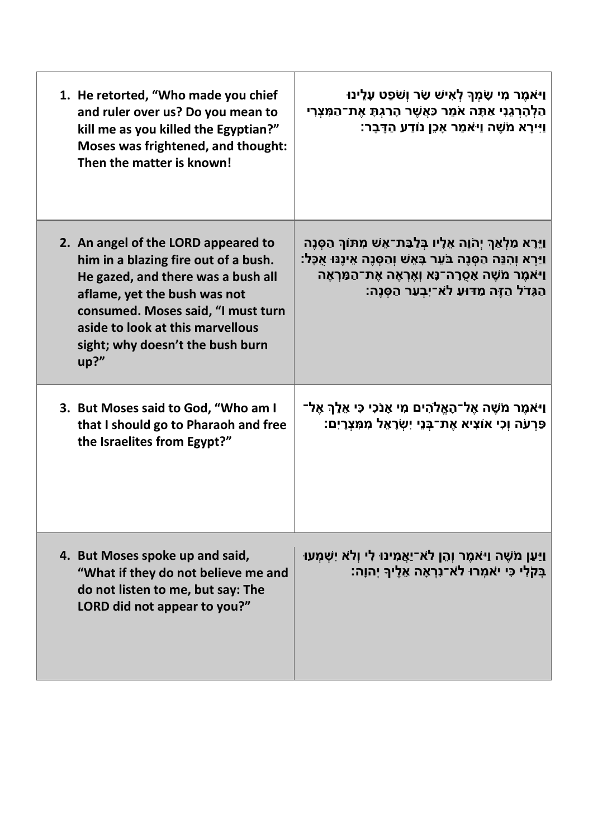| 1. He retorted, "Who made you chief<br>and ruler over us? Do you mean to<br>kill me as you killed the Egyptian?"<br>Moses was frightened, and thought:<br>Then the matter is known!                                                                                        | ַוַיאמֶר מִי שָׂמְךָ לְאִישׁ שַׂר וְשֹׁפֵט עָלֵינוּ<br>הַלְהָרְגֶנִי אַתָּה אֹמֶר כַּאֲשֶׁר הָרַגְתָּ אֶת־הַמִּצְרִי<br>ַוַיִּירָא מֹשֶׁה וַיּאמַר אָכֵן נוֹדַע הַדָּבָר:                                                                                  |
|----------------------------------------------------------------------------------------------------------------------------------------------------------------------------------------------------------------------------------------------------------------------------|------------------------------------------------------------------------------------------------------------------------------------------------------------------------------------------------------------------------------------------------------------|
| 2. An angel of the LORD appeared to<br>him in a blazing fire out of a bush.<br>He gazed, and there was a bush all<br>aflame, yet the bush was not<br>consumed. Moses said, "I must turn<br>aside to look at this marvellous<br>sight; why doesn't the bush burn<br>$up?$ " | ַוַיֵּרָא מַלְאַךְ יְהֹוָה אֵלָיו בְּלַבַּת־אֵשׁ מִתּוֹךְ הַסְנֶה<br><u>וי</u> ַרְא וְהִנֵּה הַסְנֶה בֹּעֵר בָּאֵשׁ וְהַסְנֶה אֵינֶנּוּ אֻכָּל:<br>וַיּאמֶר מֹשֶׁה אָסֻרָה־נָּא וְאֶרְאֶה אֶת־הַמַּרְאֶה<br>הַגָּדֹל הַזֶּה מַדּוּעַ לֹא־יִבְעַר הַסְּנֵה: |
| 3. But Moses said to God, "Who am I<br>that I should go to Pharaoh and free<br>the Israelites from Egypt?"                                                                                                                                                                 | ַוַיאמֶר מֹשֶׁה אֶל־הָאֱלֹהִים מִי אָנֹכִי כִּי אֵלֵךְ אֶל־<br>פַּרְעֹה וְכִי אוֹצִיא אֶת־בָּנֵי יִשְׂרָאֵל מִמְּצְרָיִם:                                                                                                                                  |
| 4. But Moses spoke up and said,<br>"What if they do not believe me and<br>do not listen to me, but say: The<br>LORD did not appear to you?"                                                                                                                                | ַוַיַּעַן מֹשֶׁה וַיּאמֶר וְהֵן לֹא־יַאֲמִינוּ לִי וְלֹא יִשְׁמְעוּ<br>בְּקֹלִי כִּי יֹאמְרוּ לֹא־נִרְאָה אֵלֶיךָ יְהוָה:                                                                                                                                  |